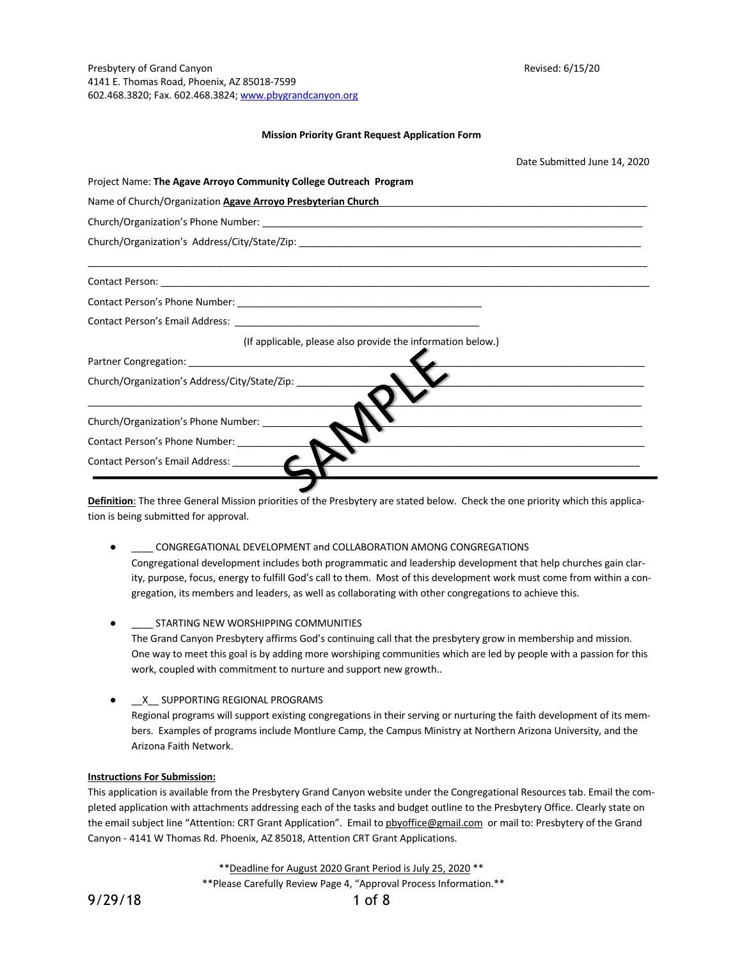Presbytery of Grand Canyon **Revised: 6/15/20** Revised: 6/15/20 4141 E. Thomas Road, Phoenix, AZ 85018-7599 602.468.3820; Fax. 602.468.3824; www.pbygrandcanyon.org

## **Mission Priority Grant Request Application Form**

|                                                                   | Date Submitted June 14, 2020                                                                                         |
|-------------------------------------------------------------------|----------------------------------------------------------------------------------------------------------------------|
| Project Name: The Agave Arroyo Community College Outreach Program |                                                                                                                      |
| Name of Church/Organization Agave Arroyo Presbyterian Church      | <u> 2000 - 2000 - 2000 - 2000 - 2000 - 2000 - 2000 - 2000 - 2000 - 2000 - 2000 - 2000 - 2000 - 2000 - 2000 - 200</u> |
|                                                                   |                                                                                                                      |
|                                                                   |                                                                                                                      |
|                                                                   |                                                                                                                      |
|                                                                   |                                                                                                                      |
|                                                                   |                                                                                                                      |
| (If applicable, please also provide the information below.)       |                                                                                                                      |
|                                                                   |                                                                                                                      |
| Church/Organization's Address/City/State/Zip:                     | <u> 1980 - Jan Barbarat, martin da shekara 1980 - An tsa a tsa a tsa a tsa a tsa a tsa a tsa a tsa a tsa a tsa a</u> |
| Church/Organization's Phone Number:                               |                                                                                                                      |
| Contact Person's Phone Number:                                    |                                                                                                                      |
|                                                                   |                                                                                                                      |
|                                                                   |                                                                                                                      |

**Definition**: The three General Mission priorities of the Presbytery are stated below. Check the one priority which this application is being submitted for approval.

- CONGREGATIONAL DEVELOPMENT and COLLABORATION AMONG CONGREGATIONS Congregational development includes both programmatic and leadership development that help churches gain clarity, purpose, focus, energy to fulfill God's call to them. Most of this development work must come from within a congregation, its members and leaders, as well as collaborating with other congregations to achieve this.
- **.** STARTING NEW WORSHIPPING COMMUNITIES The Grand Canyon Presbytery affirms God's continuing call that the presbytery grow in membership and mission. One way to meet this goal is by adding more worshiping communities which are led by people with a passion for this work, coupled with commitment to nurture and support new growth..
- \_\_X\_\_ SUPPORTING REGIONAL PROGRAMS

Regional programs will support existing congregations in their serving or nurturing the faith development of its members. Examples of programs include Montlure Camp, the Campus Ministry at Northern Arizona University, and the Arizona Faith Network.

## **Instructions For Submission:**

This application is available from the Presbytery Grand Canyon website under the Congregational Resources tab. Email the completed application with attachments addressing each of the tasks and budget outline to the Presbytery Office. Clearly state on the email subject line "Attention: CRT Grant Application". Email to pbyoffice@gmail.com or mail to: Presbytery of the Grand Canyon - 4141 W Thomas Rd. Phoenix, AZ 85018, Attention CRT Grant Applications.

\*\*Deadline for August 2020 Grant Period is July 25, 2020 \*\*

\*\*Please Carefully Review Page 4, "Approval Process Information.\*\*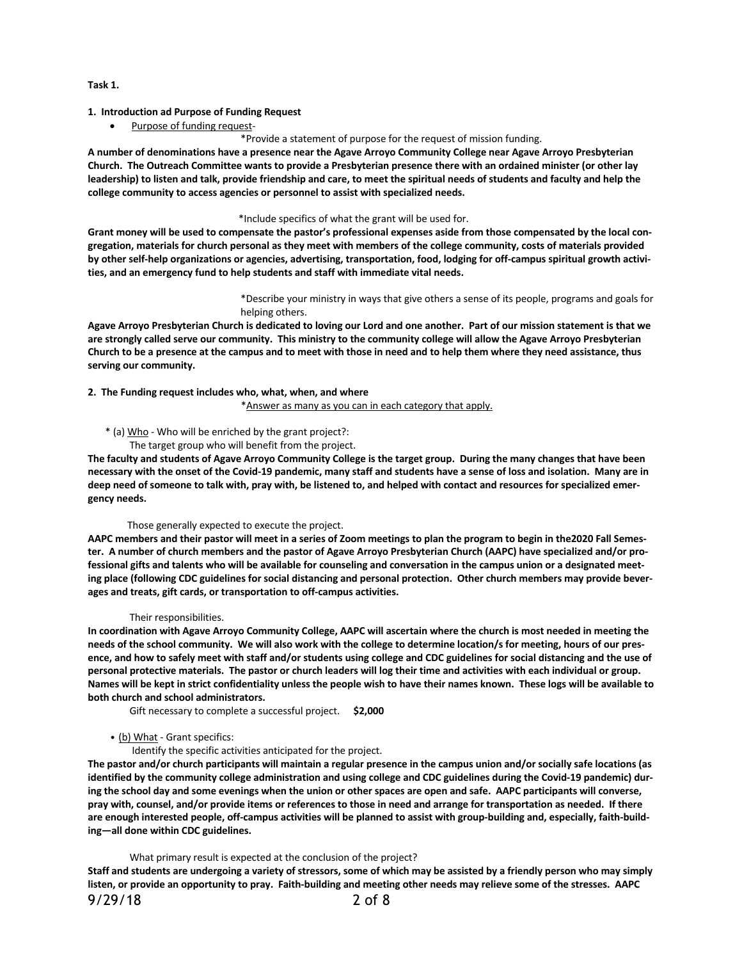## **Task 1.**

# **1. Introduction ad Purpose of Funding Request**

• Purpose of funding request-

# \*Provide a statement of purpose for the request of mission funding.

A number of denominations have a presence near the Agave Arroyo Community College near Agave Arroyo Presbyterian Church. The Outreach Committee wants to provide a Presbyterian presence there with an ordained minister (or other lay leadership) to listen and talk, provide friendship and care, to meet the spiritual needs of students and faculty and help the **college community to access agencies or personnel to assist with specialized needs.**

#### \*Include specifics of what the grant will be used for.

Grant money will be used to compensate the pastor's professional expenses aside from those compensated by the local congregation, materials for church personal as they meet with members of the college community, costs of materials provided by other self-help organizations or agencies, advertising, transportation, food, lodging for off-campus spiritual growth activi**ties, and an emergency fund to help students and staff with immediate vital needs.**

> \*Describe your ministry in ways that give others a sense of its people, programs and goals for helping others.

Agave Arroyo Presbyterian Church is dedicated to loving our Lord and one another. Part of our mission statement is that we are strongly called serve our community. This ministry to the community college will allow the Agave Arroyo Presbyterian Church to be a presence at the campus and to meet with those in need and to help them where they need assistance, thus **serving our community.**

**2. The Funding request includes who, what, when, and where**

\*Answer as many as you can in each category that apply.

# \* (a) Who - Who will be enriched by the grant project?:

The target group who will benefit from the project.

The faculty and students of Agave Arroyo Community College is the target group. During the many changes that have been necessary with the onset of the Covid-19 pandemic, many staff and students have a sense of loss and isolation. Many are in deep need of someone to talk with, pray with, be listened to, and helped with contact and resources for specialized emer**gency needs.** 

#### Those generally expected to execute the project.

AAPC members and their pastor will meet in a series of Zoom meetings to plan the program to begin in the2020 Fall Semester. A number of church members and the pastor of Agave Arroyo Presbyterian Church (AAPC) have specialized and/or professional gifts and talents who will be available for counseling and conversation in the campus union or a designated meeting place (following CDC guidelines for social distancing and personal protection. Other church members may provide bever**ages and treats, gift cards, or transportation to off-campus activities.**

#### Their responsibilities.

In coordination with Agave Arroyo Community College, AAPC will ascertain where the church is most needed in meeting the needs of the school community. We will also work with the college to determine location/s for meeting, hours of our presence, and how to safely meet with staff and/or students using college and CDC guidelines for social distancing and the use of personal protective materials. The pastor or church leaders will log their time and activities with each individual or group. Names will be kept in strict confidentiality unless the people wish to have their names known. These logs will be available to **both church and school administrators.**

Gift necessary to complete a successful project. **\$2,000**

## • (b) What - Grant specifics:

Identify the specific activities anticipated for the project.

The pastor and/or church participants will maintain a regular presence in the campus union and/or socially safe locations (as identified by the community college administration and using college and CDC guidelines during the Covid-19 pandemic) during the school day and some evenings when the union or other spaces are open and safe. AAPC participants will converse, pray with, counsel, and/or provide items or references to those in need and arrange for transportation as needed. If there are enough interested people, off-campus activities will be planned to assist with group-building and, especially, faith-build**ing—all done within CDC guidelines.**

#### What primary result is expected at the conclusion of the project?

Staff and students are undergoing a variety of stressors, some of which may be assisted by a friendly person who may simply listen, or provide an opportunity to pray. Faith-building and meeting other needs may relieve some of the stresses. AAPC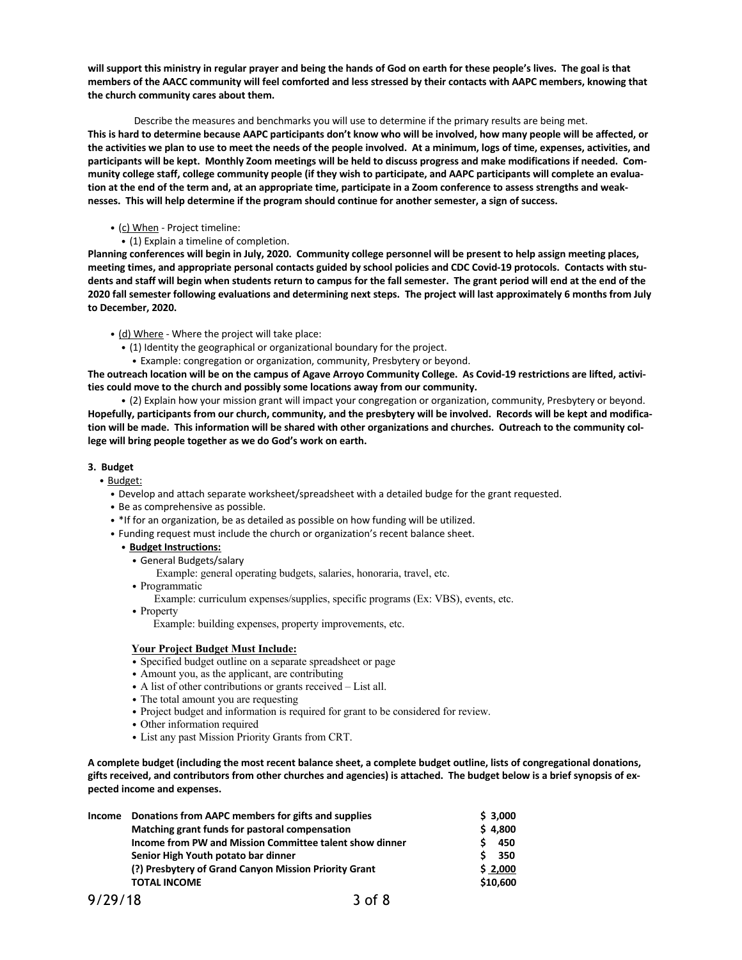will support this ministry in regular prayer and being the hands of God on earth for these people's lives. The goal is that members of the AACC community will feel comforted and less stressed by their contacts with AAPC members, knowing that **the church community cares about them.**

Describe the measures and benchmarks you will use to determine if the primary results are being met. This is hard to determine because AAPC participants don't know who will be involved, how many people will be affected, or the activities we plan to use to meet the needs of the people involved. At a minimum, logs of time, expenses, activities, and participants will be kept. Monthly Zoom meetings will be held to discuss progress and make modifications if needed. Community college staff, college community people (if they wish to participate, and AAPC participants will complete an evaluation at the end of the term and, at an appropriate time, participate in a Zoom conference to assess strengths and weak**nesses. This will help determine if the program should continue for another semester, a sign of success.**

# • (c) When - Project timeline:

• (1) Explain a timeline of completion.

Planning conferences will begin in July, 2020. Community college personnel will be present to help assign meeting places, meeting times, and appropriate personal contacts guided by school policies and CDC Covid-19 protocols. Contacts with students and staff will begin when students return to campus for the fall semester. The grant period will end at the end of the 2020 fall semester following evaluations and determining next steps. The project will last approximately 6 months from July **to December, 2020.**

• (d) Where - Where the project will take place:

- (1) Identity the geographical or organizational boundary for the project.
	- Example: congregation or organization, community, Presbytery or beyond.

The outreach location will be on the campus of Agave Arroyo Community College. As Covid-19 restrictions are lifted, activi**ties could move to the church and possibly some locations away from our community.**

• (2) Explain how your mission grant will impact your congregation or organization, community, Presbytery or beyond. Hopefully, participants from our church, community, and the presbytery will be involved. Records will be kept and modification will be made. This information will be shared with other organizations and churches. Outreach to the community col**lege will bring people together as we do God's work on earth.**

# **3. Budget**

- Budget:
	- Develop and attach separate worksheet/spreadsheet with a detailed budge for the grant requested.
	- Be as comprehensive as possible.
	- \*If for an organization, be as detailed as possible on how funding will be utilized.
	- Funding request must include the church or organization's recent balance sheet.
		- **Budget Instructions:**
			- General Budgets/salary
				- Example: general operating budgets, salaries, honoraria, travel, etc.
			- Programmatic
				- Example: curriculum expenses/supplies, specific programs (Ex: VBS), events, etc.
			- Property

Example: building expenses, property improvements, etc.

## **Your Project Budget Must Include:**

- Specified budget outline on a separate spreadsheet or page
- Amount you, as the applicant, are contributing
- A list of other contributions or grants received List all.
- The total amount you are requesting
- Project budget and information is required for grant to be considered for review.
- Other information required
- List any past Mission Priority Grants from CRT.

A complete budget (including the most recent balance sheet, a complete budget outline, lists of congregational donations, gifts received, and contributors from other churches and agencies) is attached. The budget below is a brief synopsis of ex**pected income and expenses.**

| Income  | Donations from AAPC members for gifts and supplies      |            |  | \$3,000  |
|---------|---------------------------------------------------------|------------|--|----------|
|         | Matching grant funds for pastoral compensation          |            |  | \$4,800  |
|         | Income from PW and Mission Committee talent show dinner |            |  | 450      |
|         | Senior High Youth potato bar dinner                     |            |  | 350      |
|         | (?) Presbytery of Grand Canyon Mission Priority Grant   |            |  | \$2,000  |
|         | <b>TOTAL INCOME</b>                                     |            |  | \$10,600 |
| 9/29/18 |                                                         | $3$ of $8$ |  |          |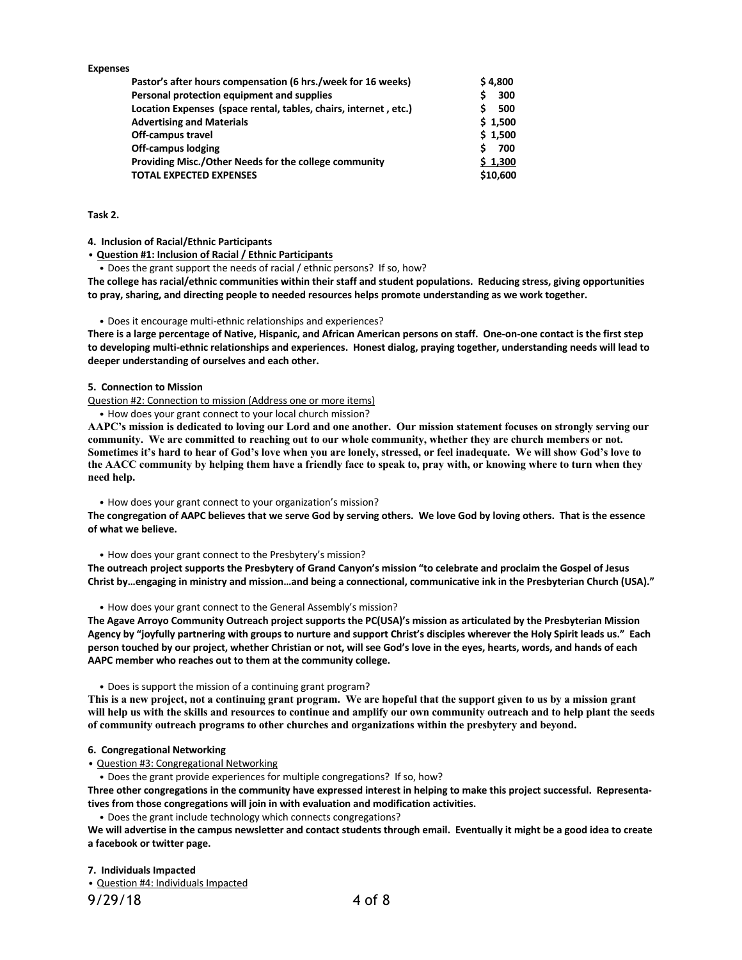| <b>Expenses</b>                                                  |          |
|------------------------------------------------------------------|----------|
| Pastor's after hours compensation (6 hrs./week for 16 weeks)     | \$4.800  |
| Personal protection equipment and supplies                       | 300      |
| Location Expenses (space rental, tables, chairs, internet, etc.) | 500      |
| <b>Advertising and Materials</b>                                 | \$1,500  |
| Off-campus travel                                                | \$1,500  |
| <b>Off-campus lodging</b>                                        | 700      |
| Providing Misc./Other Needs for the college community            | \$1,300  |
| <b>TOTAL EXPECTED EXPENSES</b>                                   | \$10,600 |

# **Task 2.**

**4. Inclusion of Racial/Ethnic Participants**

• **Question #1: Inclusion of Racial / Ethnic Participants**

• Does the grant support the needs of racial / ethnic persons? If so, how?

**The college has racial/ethnic communities within their staff and student populations. Reducing stress, giving opportunities to pray, sharing, and directing people to needed resources helps promote understanding as we work together.**

#### • Does it encourage multi-ethnic relationships and experiences?

There is a large percentage of Native, Hispanic, and African American persons on staff. One-on-one contact is the first step **to developing multi-ethnic relationships and experiences. Honest dialog, praying together, understanding needs will lead to deeper understanding of ourselves and each other.**

#### **5. Connection to Mission**

Question #2: Connection to mission (Address one or more items)

• How does your grant connect to your local church mission?

AAPC's mission is dedicated to loving our Lord and one another. Our mission statement focuses on strongly serving our community. We are committed to reaching out to our whole community, whether they are church members or not. Sometimes it's hard to hear of God's love when you are lonely, stressed, or feel inadequate. We will show God's love to the AACC community by helping them have a friendly face to speak to, pray with, or knowing where to turn when they **need help.**

#### • How does your grant connect to your organization's mission?

The congregation of AAPC believes that we serve God by serving others. We love God by loving others. That is the essence **of what we believe.**

#### • How does your grant connect to the Presbytery's mission?

The outreach project supports the Presbytery of Grand Canyon's mission "to celebrate and proclaim the Gospel of Jesus Christ by...engaging in ministry and mission...and being a connectional, communicative ink in the Presbyterian Church (USA)."

• How does your grant connect to the General Assembly's mission?

The Agave Arroyo Community Outreach project supports the PC(USA)'s mission as articulated by the Presbyterian Mission Agency by "joyfully partnering with groups to nurture and support Christ's disciples wherever the Holy Spirit leads us." Each person touched by our project, whether Christian or not, will see God's love in the eyes, hearts, words, and hands of each **AAPC member who reaches out to them at the community college.** 

• Does is support the mission of a continuing grant program?

This is a new project, not a continuing grant program. We are hopeful that the support given to us by a mission grant will help us with the skills and resources to continue and amplify our own community outreach and to help plant the seeds **of community outreach programs to other churches and organizations within the presbytery and beyond.**

# **6. Congregational Networking**

• Question #3: Congregational Networking

• Does the grant provide experiences for multiple congregations? If so, how?

Three other congregations in the community have expressed interest in helping to make this project successful. Representa**tives from those congregations will join in with evaluation and modification activities.** 

• Does the grant include technology which connects congregations?

We will advertise in the campus newsletter and contact students through email. Eventually it might be a good idea to create **a facebook or twitter page.**

**7. Individuals Impacted**

• Question #4: Individuals Impacted

9/29/18 4 of 8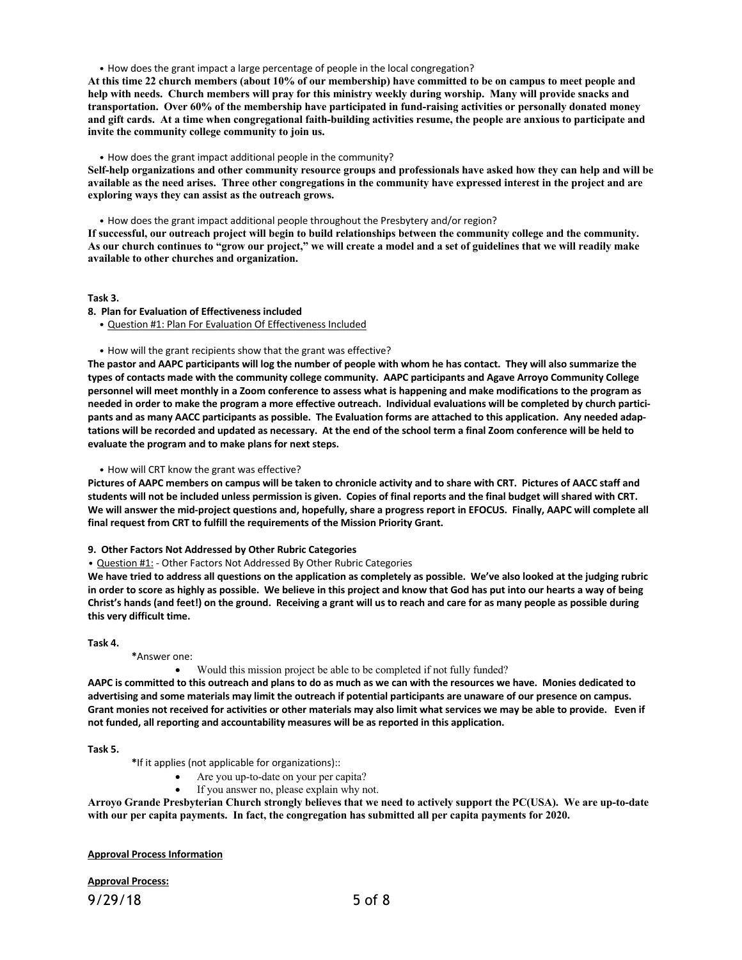• How does the grant impact a large percentage of people in the local congregation?

At this time 22 church members (about 10% of our membership) have committed to be on campus to meet people and **help with needs. Church members will pray for this ministry weekly during worship. Many will provide snacks and transportation. Over 60% of the membership have participated in fund-raising activities or personally donated money** and gift cards. At a time when congregational faith-building activities resume, the people are anxious to participate and **invite the community college community to join us.** 

• How does the grant impact additional people in the community?

Self-help organizations and other community resource groups and professionals have asked how they can help and will be available as the need arises. Three other congregations in the community have expressed interest in the project and are **exploring ways they can assist as the outreach grows.**

• How does the grant impact additional people throughout the Presbytery and/or region?

If successful, our outreach project will begin to build relationships between the community college and the community. As our church continues to "grow our project," we will create a model and a set of guidelines that we will readily make **available to other churches and organization.**

# **Task 3.**

#### **8. Plan for Evaluation of Effectiveness included**

• Question #1: Plan For Evaluation Of Effectiveness Included

• How will the grant recipients show that the grant was effective?

The pastor and AAPC participants will log the number of people with whom he has contact. They will also summarize the **types of contacts made with the community college community. AAPC participants and Agave Arroyo Community College** personnel will meet monthly in a Zoom conference to assess what is happening and make modifications to the program as needed in order to make the program a more effective outreach. Individual evaluations will be completed by church participants and as many AACC participants as possible. The Evaluation forms are attached to this application. Any needed adaptations will be recorded and updated as necessary. At the end of the school term a final Zoom conference will be held to **evaluate the program and to make plans for next steps.**

• How will CRT know the grant was effective?

Pictures of AAPC members on campus will be taken to chronicle activity and to share with CRT. Pictures of AACC staff and students will not be included unless permission is given. Copies of final reports and the final budget will shared with CRT. We will answer the mid-project questions and, hopefully, share a progress report in EFOCUS. Finally, AAPC will complete all **final request from CRT to fulfill the requirements of the Mission Priority Grant.**

**9. Other Factors Not Addressed by Other Rubric Categories**

• Question #1: - Other Factors Not Addressed By Other Rubric Categories

We have tried to address all questions on the application as completely as possible. We've also looked at the judging rubric in order to score as highly as possible. We believe in this project and know that God has put into our hearts a way of being Christ's hands (and feet!) on the ground. Receiving a grant will us to reach and care for as many people as possible during **this very difficult time.**

**Task 4.**

**\***Answer one:

## • Would this mission project be able to be completed if not fully funded?

AAPC is committed to this outreach and plans to do as much as we can with the resources we have. Monies dedicated to advertising and some materials may limit the outreach if potential participants are unaware of our presence on campus. Grant monies not received for activities or other materials may also limit what services we may be able to provide. Even if **not funded, all reporting and accountability measures will be as reported in this application.**

**Task 5.**

**\***If it applies (not applicable for organizations)::

- Are you up-to-date on your per capita?
- If you answer no, please explain why not.

Arroyo Grande Presbyterian Church strongly believes that we need to actively support the PC(USA). We are up-to-date **with our per capita payments. In fact, the congregation has submitted all per capita payments for 2020.**

**Approval Process Information**

**Approval Process:**

9/29/18 5 of 8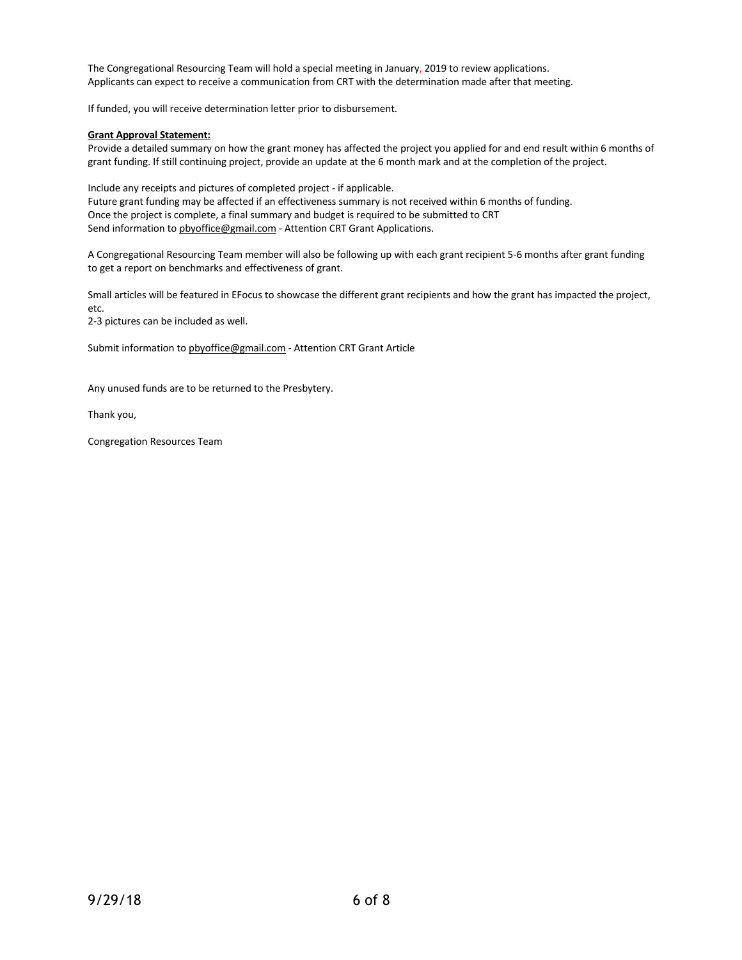The Congregational Resourcing Team will hold a special meeting in January, 2019 to review applications. Applicants can expect to receive a communication from CRT with the determination made after that meeting.

If funded, you will receive determination letter prior to disbursement.

# **Grant Approval Statement:**

Provide a detailed summary on how the grant money has affected the project you applied for and end result within 6 months of grant funding. If still continuing project, provide an update at the 6 month mark and at the completion of the project.

Include any receipts and pictures of completed project - if applicable. Future grant funding may be affected if an effectiveness summary is not received within 6 months of funding. Once the project is complete, a final summary and budget is required to be submitted to CRT Send information to pbyoffice@gmail.com - Attention CRT Grant Applications.

A Congregational Resourcing Team member will also be following up with each grant recipient 5-6 months after grant funding to get a report on benchmarks and effectiveness of grant.

Small articles will be featured in EFocus to showcase the different grant recipients and how the grant has impacted the project, etc.

2-3 pictures can be included as well.

Submit information to pbyoffice@gmail.com - Attention CRT Grant Article

Any unused funds are to be returned to the Presbytery.

Thank you,

Congregation Resources Team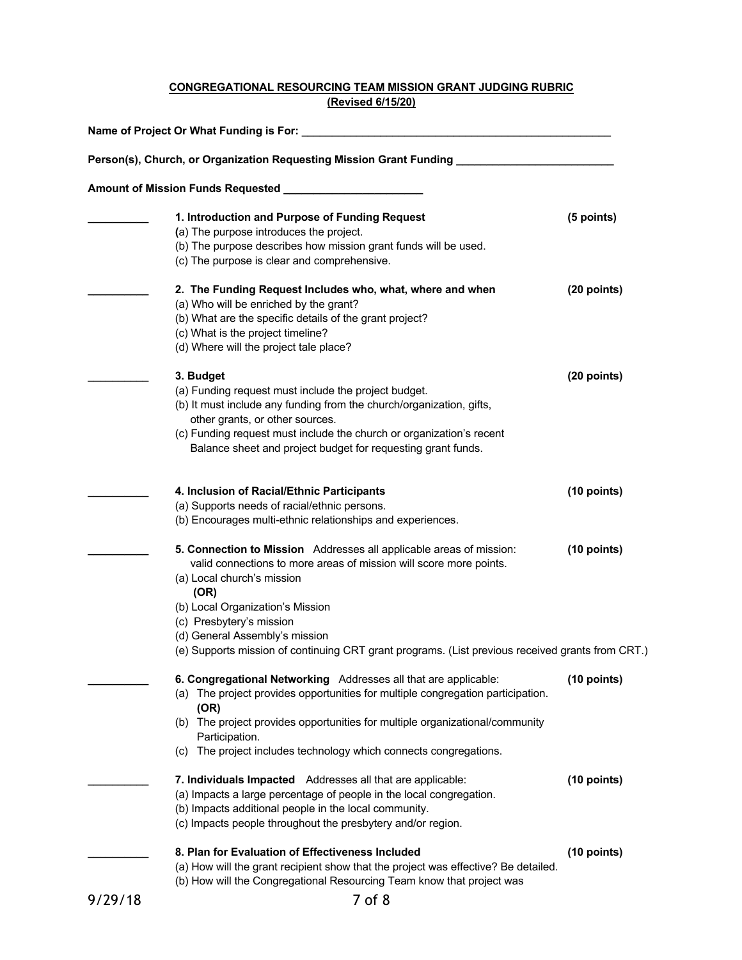# **CONGREGATIONAL RESOURCING TEAM MISSION GRANT JUDGING RUBRIC (Revised 6/15/20)**

| Name of Project Or What Funding is For: _<br>Person(s), Church, or Organization Requesting Mission Grant Funding |             |  |  |  |                                                |            |
|------------------------------------------------------------------------------------------------------------------|-------------|--|--|--|------------------------------------------------|------------|
|                                                                                                                  |             |  |  |  | 1. Introduction and Purpose of Funding Request | (5 points) |
|                                                                                                                  |             |  |  |  | (a) The purpose introduces the project.        |            |
| (b) The purpose describes how mission grant funds will be used.                                                  |             |  |  |  |                                                |            |
| (c) The purpose is clear and comprehensive.                                                                      |             |  |  |  |                                                |            |
| 2. The Funding Request Includes who, what, where and when                                                        | (20 points) |  |  |  |                                                |            |
| (a) Who will be enriched by the grant?                                                                           |             |  |  |  |                                                |            |
| (b) What are the specific details of the grant project?                                                          |             |  |  |  |                                                |            |
| (c) What is the project timeline?                                                                                |             |  |  |  |                                                |            |
| (d) Where will the project tale place?                                                                           |             |  |  |  |                                                |            |
| 3. Budget                                                                                                        | (20 points) |  |  |  |                                                |            |
| (a) Funding request must include the project budget.                                                             |             |  |  |  |                                                |            |
| (b) It must include any funding from the church/organization, gifts,                                             |             |  |  |  |                                                |            |
| other grants, or other sources.                                                                                  |             |  |  |  |                                                |            |
| (c) Funding request must include the church or organization's recent                                             |             |  |  |  |                                                |            |
| Balance sheet and project budget for requesting grant funds.                                                     |             |  |  |  |                                                |            |
| 4. Inclusion of Racial/Ethnic Participants                                                                       | (10 points) |  |  |  |                                                |            |
| (a) Supports needs of racial/ethnic persons.                                                                     |             |  |  |  |                                                |            |
| (b) Encourages multi-ethnic relationships and experiences.                                                       |             |  |  |  |                                                |            |
| 5. Connection to Mission Addresses all applicable areas of mission:                                              | (10 points) |  |  |  |                                                |            |
| valid connections to more areas of mission will score more points.                                               |             |  |  |  |                                                |            |
| (a) Local church's mission                                                                                       |             |  |  |  |                                                |            |
| (OR)                                                                                                             |             |  |  |  |                                                |            |
| (b) Local Organization's Mission                                                                                 |             |  |  |  |                                                |            |
| (c) Presbytery's mission                                                                                         |             |  |  |  |                                                |            |
| (d) General Assembly's mission                                                                                   |             |  |  |  |                                                |            |
| (e) Supports mission of continuing CRT grant programs. (List previous received grants from CRT.)                 |             |  |  |  |                                                |            |
| 6. Congregational Networking Addresses all that are applicable:                                                  | (10 points) |  |  |  |                                                |            |
| (a) The project provides opportunities for multiple congregation participation.                                  |             |  |  |  |                                                |            |
| (OR)                                                                                                             |             |  |  |  |                                                |            |
| (b) The project provides opportunities for multiple organizational/community                                     |             |  |  |  |                                                |            |
| Participation.                                                                                                   |             |  |  |  |                                                |            |
| (c) The project includes technology which connects congregations.                                                |             |  |  |  |                                                |            |
| 7. Individuals Impacted Addresses all that are applicable:                                                       | (10 points) |  |  |  |                                                |            |
| (a) Impacts a large percentage of people in the local congregation.                                              |             |  |  |  |                                                |            |
| (b) Impacts additional people in the local community.                                                            |             |  |  |  |                                                |            |
| (c) Impacts people throughout the presbytery and/or region.                                                      |             |  |  |  |                                                |            |
| 8. Plan for Evaluation of Effectiveness Included                                                                 | (10 points) |  |  |  |                                                |            |
| (a) How will the grant recipient show that the project was effective? Be detailed.                               |             |  |  |  |                                                |            |
| (b) How will the Congregational Resourcing Team know that project was                                            |             |  |  |  |                                                |            |